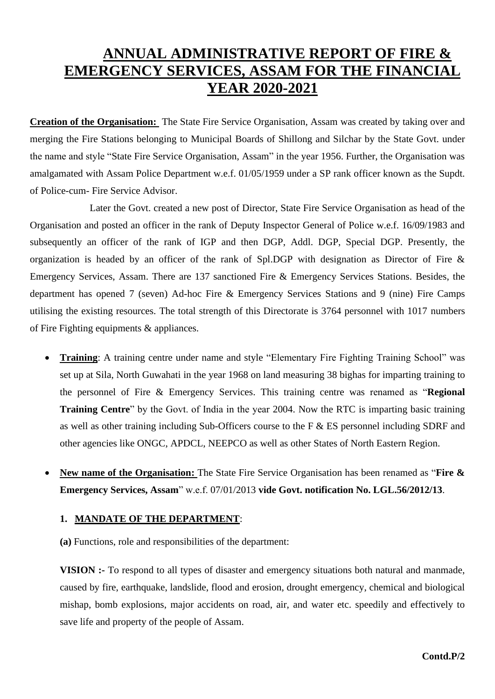# **ANNUAL ADMINISTRATIVE REPORT OF FIRE & EMERGENCY SERVICES, ASSAM FOR THE FINANCIAL YEAR 2020-2021**

**Creation of the Organisation:** The State Fire Service Organisation, Assam was created by taking over and merging the Fire Stations belonging to Municipal Boards of Shillong and Silchar by the State Govt. under the name and style "State Fire Service Organisation, Assam" in the year 1956. Further, the Organisation was amalgamated with Assam Police Department w.e.f. 01/05/1959 under a SP rank officer known as the Supdt. of Police-cum- Fire Service Advisor.

Later the Govt. created a new post of Director, State Fire Service Organisation as head of the Organisation and posted an officer in the rank of Deputy Inspector General of Police w.e.f. 16/09/1983 and subsequently an officer of the rank of IGP and then DGP, Addl. DGP, Special DGP. Presently, the organization is headed by an officer of the rank of Spl.DGP with designation as Director of Fire & Emergency Services, Assam. There are 137 sanctioned Fire & Emergency Services Stations. Besides, the department has opened 7 (seven) Ad-hoc Fire & Emergency Services Stations and 9 (nine) Fire Camps utilising the existing resources. The total strength of this Directorate is 3764 personnel with 1017 numbers of Fire Fighting equipments & appliances.

- **Training**: A training centre under name and style "Elementary Fire Fighting Training School" was set up at Sila, North Guwahati in the year 1968 on land measuring 38 bighas for imparting training to the personnel of Fire & Emergency Services. This training centre was renamed as "**Regional Training Centre**" by the Govt. of India in the year 2004. Now the RTC is imparting basic training as well as other training including Sub-Officers course to the F & ES personnel including SDRF and other agencies like ONGC, APDCL, NEEPCO as well as other States of North Eastern Region.
- **New name of the Organisation:** The State Fire Service Organisation has been renamed as "**Fire & Emergency Services, Assam**" w.e.f. 07/01/2013 **vide Govt. notification No. LGL.56/2012/13**.

## **1. MANDATE OF THE DEPARTMENT**:

**(a)** Functions, role and responsibilities of the department:

**VISION :-** To respond to all types of disaster and emergency situations both natural and manmade, caused by fire, earthquake, landslide, flood and erosion, drought emergency, chemical and biological mishap, bomb explosions, major accidents on road, air, and water etc. speedily and effectively to save life and property of the people of Assam.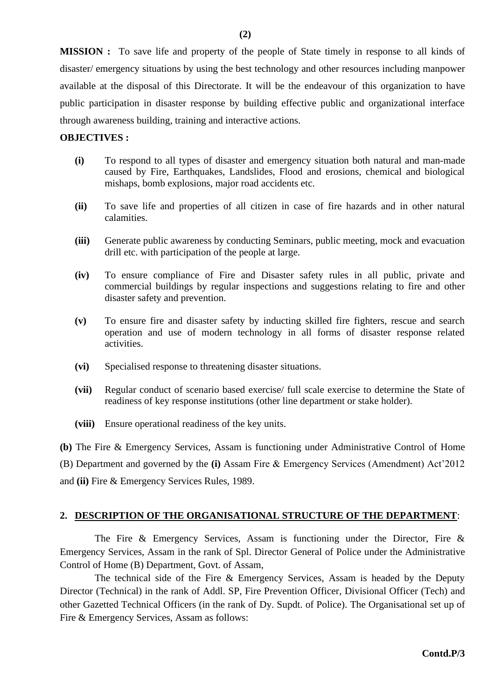**MISSION :** To save life and property of the people of State timely in response to all kinds of disaster/ emergency situations by using the best technology and other resources including manpower available at the disposal of this Directorate. It will be the endeavour of this organization to have public participation in disaster response by building effective public and organizational interface through awareness building, training and interactive actions.

#### **OBJECTIVES :**

- **(i)** To respond to all types of disaster and emergency situation both natural and man-made caused by Fire, Earthquakes, Landslides, Flood and erosions, chemical and biological mishaps, bomb explosions, major road accidents etc.
- **(ii)** To save life and properties of all citizen in case of fire hazards and in other natural calamities.
- **(iii)** Generate public awareness by conducting Seminars, public meeting, mock and evacuation drill etc. with participation of the people at large.
- **(iv)** To ensure compliance of Fire and Disaster safety rules in all public, private and commercial buildings by regular inspections and suggestions relating to fire and other disaster safety and prevention.
- **(v)** To ensure fire and disaster safety by inducting skilled fire fighters, rescue and search operation and use of modern technology in all forms of disaster response related activities.
- **(vi)** Specialised response to threatening disaster situations.
- **(vii)** Regular conduct of scenario based exercise/ full scale exercise to determine the State of readiness of key response institutions (other line department or stake holder).
- **(viii)** Ensure operational readiness of the key units.

**(b)** The Fire & Emergency Services, Assam is functioning under Administrative Control of Home (B) Department and governed by the **(i)** Assam Fire & Emergency Services (Amendment) Act'2012 and **(ii)** Fire & Emergency Services Rules, 1989.

## **2. DESCRIPTION OF THE ORGANISATIONAL STRUCTURE OF THE DEPARTMENT**:

 The Fire & Emergency Services, Assam is functioning under the Director, Fire & Emergency Services, Assam in the rank of Spl. Director General of Police under the Administrative Control of Home (B) Department, Govt. of Assam,

 The technical side of the Fire & Emergency Services, Assam is headed by the Deputy Director (Technical) in the rank of Addl. SP, Fire Prevention Officer, Divisional Officer (Tech) and other Gazetted Technical Officers (in the rank of Dy. Supdt. of Police). The Organisational set up of Fire & Emergency Services, Assam as follows: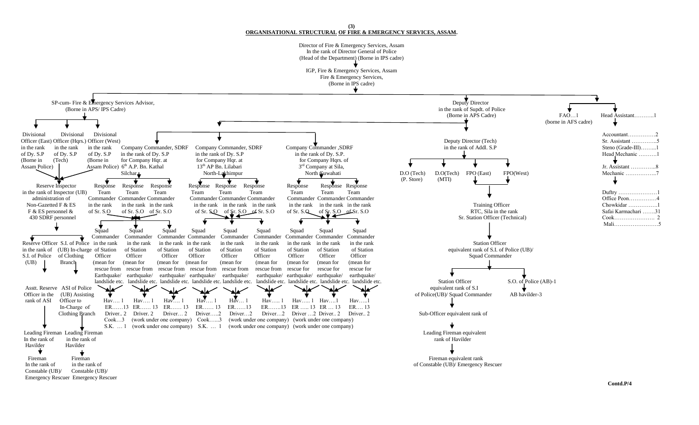**(3) ORGANISATIONAL STRUCTURAL OF FIRE & EMERGENCY SERVICES, ASSAM.** Director of Fire & Emergency Services, Assam In the rank of Director General of Police (Head of the Department) (Borne in IPS cadre) IGP, Fire & Emergency Services, Assam Fire & Emergency Services, (Borne in IPS cadre) SP-cum- Fire & Emergency Services Advisor,<br>
(Borne in APS/IPS Cadre) in the rank of Sundt, of in the rank of Supdt. of Police<br>(Borne in APS Cadre) ↓ FAO…1 Head Assistant……….1 (borne in AFS cadre) Divisional Divisional Divisional Divisional Divisional Divisional Divisional Divisional Divisional Divisional Divisional Divisional Divisional Divisional Divisional Divisional Divisional Divisional Divisional Divisional Di Officer (East) Officer (Hqrs.) Officer (West) **Deputy Director (Tech)** Sr. Assistant ……………..5<br>
in the rank in the rank in the rank Company Commander, SDRF Company Commander, SDRF Company Commander, SDRF in the rank of Addl in the rank in the rank in the rank Company Commander, SDRF Company Commander, SDRF Company Commander, SDRF in the rank of Addl. S.P Steno (Grade-III)……...1 of Dy. S.P of Dy. S.P in the rank of Dy. S.P in the rank of Dy. S.P in the rank of Dy. S.P. Head Mechanic ……….1 (Borne in (Tech) (Borne in for Company Hqr. at for Company Hqr. at for Company Hqr. at for Company Hqrs. of Assam Police) Assam Police) 6<sup>th</sup> A.P. Bn. Kathal Silchar  $13<sup>th</sup>$  AP Bn. Lilabari  $3<sup>rd</sup>$  Company at Sila, Ir. Assistant ……………8<br>Mechanic ………………7 Silchar North-Lakhimpur North Guwahati D.O (Tech) D.O (Tech) FPO (East) FPO (West) Mechanic ………………….7  $\begin{array}{ccc} \uparrow & \uparrow & \downarrow & \downarrow \end{array}$  (P. Store) (MTI) Reserve Inspector Response Response Response Response Response Response Response Response Response in the rank of Inspector (UB) Team Team Team Team Team Team Team Team Team Duftry …………………1 administration of Commander Commander Commander Commander Commander Commander Commander Commander Commander Commander Commander Commander Commander Commander Commander Commander Commander Commander Commander Commander Comm in the rank in the rank in the rank F & ES personnel & of Sr. S.O of Sr. S.O of Sr. S.O of Sr. S.O of Sr. S.O of Sr. S.O of Sr. S.O of Sr. S.O of Sr. S.O of Sr. S.O of Sr. S.O of Sr. S.O RTC, Sila in the rank Safai Karmachari ……..31 430 SDRF personnel Sr. Station Officer (Technical) Cook…………………. 2 Mali……………………5 Squad Squad Squad Squad Squad Squad Squad Squad Squad Commander Commander Commander Commander Commander Commander Commander Commander Commander Reserve Officer S.I. of Police in the rank in the rank in the rank in the rank in the rank in the rank in the rank in the rank in the rank in the rank in the rank in the rank in the rank in the rank in the rank in the rank in the rank of (UB) In-charge of Station of Station of Station of Station of Station of Station of Station of Station of Station of Station of Station of Station of Station of Station of Station of Station of Station of St  $S.I.$  of Police of Clothing (UB) Branch (mean for (mean for (mean for (mean for (mean for (mean for (mean for (mean for (mean for rescue from rescue from rescue from rescue from rescue from rescue from rescue for rescue for rescue for Earthquake/ earthquake/ earthquake/ earthquake/ earthquake/ earthquake/ earthquake/ earthquake/ earthquake/ landslide etc. landslide etc. landslide etc. landslide etc. landslide etc. landslide etc. landslide etc. landslide etc. landslide etc. landslide etc. landslide etc. landslide etc. landslide etc. landslide etc. landslide et Asstt. Reserve ASI of Police  $\sim$  Associated the contract of S.I Officer in the (UB) Assisting  $\begin{array}{ccc}\n\bullet \\
\bullet \\
\bullet \\
\bullet \\
\bullet\n\end{array}$  Hav....1 Hav....1 Hav....1 Hav....1 Hav....1 Hav....1 Hav....1 Hav....1 Hav....1 Hav....1 Hav....1 Hav....1 Hav....1 Hav....1 Hav....1 Hav....1 Hav....1 Hav....1 rank of Asi Officer Hav…. 1 Hav…. 1 Hav…. 1 Hav…. 1 Hav….. 1 Hav….. 1 Hav….. 1 Hav….. 1 Hav….. 1 Hav…. 1 ER……. 13 ER……. 13 ER……. 13 ER……. 13 ER……. 13 ER….. 13 ER…. 13 In-Charge of ER……13 ER…… 13 ER…… 13 ER…… 13 ER……13 ER…….13 ER ….. 13 ER … 13 ER…. 13 Clothing Branch Driver.. 2 Driver. 2 Driver… 2 Driver…..2 Driver…2 Driver…2 Driver …2 Driver.. 2 Driver.. 2 Sub-Officer equivalent rank of Cook…3 (work under one company) Cook…...3 (work under one company) (work under one company) S.K. … 1 (work under one company) S.K. … 1 (work under one company) (work under one company) Leading Fireman Leading Fireman equivalent Leading Fireman equivalent Leading Fireman equivalent In the rank of in the rank of Havilder and Solution of Havilder and Solution of Havilder and Solution of Havilder Havilder Havilder ▾  $\mathbf t$  Fireman Fireman Fireman equivalent rank In the rank of in the rank of in the rank of constable (UB)/ Emergency Rescuer<br>Constable (UB)/ Constable (UB)/ Constable (UB)/ Constable (UB)/

Emergency Rescuer Emergency Rescuer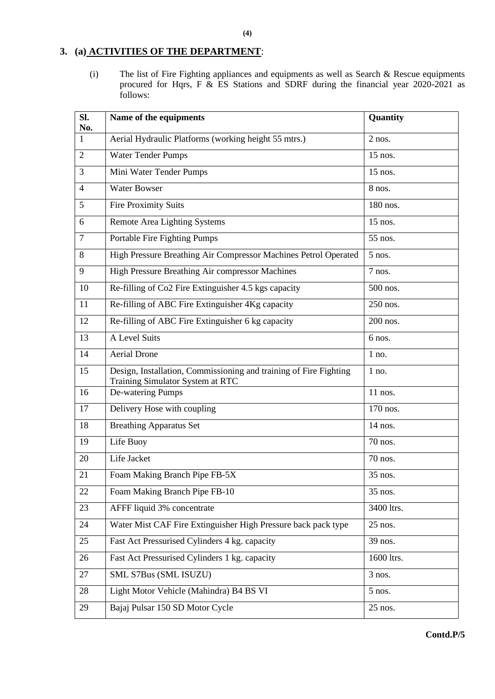## **3. (a) ACTIVITIES OF THE DEPARTMENT**:

(i) The list of Fire Fighting appliances and equipments as well as Search & Rescue equipments procured for Hqrs, F & ES Stations and SDRF during the financial year 2020-2021 as follows:

| SI.<br>No.     | Name of the equipments                                                                                | Quantity   |
|----------------|-------------------------------------------------------------------------------------------------------|------------|
| 1              | Aerial Hydraulic Platforms (working height 55 mtrs.)                                                  | $2$ nos.   |
| $\overline{2}$ | <b>Water Tender Pumps</b>                                                                             | 15 nos.    |
| 3              | Mini Water Tender Pumps                                                                               | 15 nos.    |
| $\overline{4}$ | <b>Water Bowser</b>                                                                                   | 8 nos.     |
| 5              | <b>Fire Proximity Suits</b>                                                                           | 180 nos.   |
| 6              | <b>Remote Area Lighting Systems</b>                                                                   | 15 nos.    |
| $\overline{7}$ | Portable Fire Fighting Pumps                                                                          | 55 nos.    |
| 8              | High Pressure Breathing Air Compressor Machines Petrol Operated                                       | $5$ nos.   |
| 9              | High Pressure Breathing Air compressor Machines                                                       | 7 nos.     |
| 10             | Re-filling of Co2 Fire Extinguisher 4.5 kgs capacity                                                  | 500 nos.   |
| 11             | Re-filling of ABC Fire Extinguisher 4Kg capacity                                                      | 250 nos.   |
| 12             | Re-filling of ABC Fire Extinguisher 6 kg capacity                                                     | 200 nos.   |
| 13             | A Level Suits                                                                                         | 6 nos.     |
| 14             | <b>Aerial Drone</b>                                                                                   | $1$ no.    |
| 15             | Design, Installation, Commissioning and training of Fire Fighting<br>Training Simulator System at RTC | 1 no.      |
| 16             | De-watering Pumps                                                                                     | 11 nos.    |
| 17             | Delivery Hose with coupling                                                                           | 170 nos.   |
| 18             | <b>Breathing Apparatus Set</b>                                                                        | 14 nos.    |
| 19             | Life Buoy                                                                                             | 70 nos.    |
| 20             | Life Jacket                                                                                           | 70 nos.    |
| 21             | Foam Making Branch Pipe FB-5X                                                                         | 35 nos.    |
| 22             | Foam Making Branch Pipe FB-10                                                                         | 35 nos.    |
| 23             | AFFF liquid 3% concentrate                                                                            | 3400 ltrs. |
| 24             | Water Mist CAF Fire Extinguisher High Pressure back pack type                                         | 25 nos.    |
| 25             | Fast Act Pressurised Cylinders 4 kg. capacity                                                         | 39 nos.    |
| 26             | Fast Act Pressurised Cylinders 1 kg. capacity                                                         | 1600 ltrs. |
| 27             | SML S7Bus (SML ISUZU)                                                                                 | 3 nos.     |
| 28             | Light Motor Vehicle (Mahindra) B4 BS VI                                                               | $5$ nos.   |
| 29             | Bajaj Pulsar 150 SD Motor Cycle                                                                       | 25 nos.    |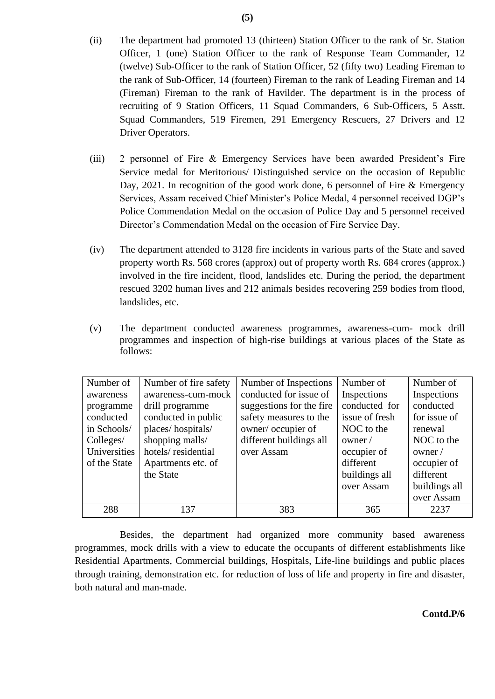- (ii) The department had promoted 13 (thirteen) Station Officer to the rank of Sr. Station Officer, 1 (one) Station Officer to the rank of Response Team Commander, 12 (twelve) Sub-Officer to the rank of Station Officer, 52 (fifty two) Leading Fireman to the rank of Sub-Officer, 14 (fourteen) Fireman to the rank of Leading Fireman and 14 (Fireman) Fireman to the rank of Havilder. The department is in the process of recruiting of 9 Station Officers, 11 Squad Commanders, 6 Sub-Officers, 5 Asstt. Squad Commanders, 519 Firemen, 291 Emergency Rescuers, 27 Drivers and 12 Driver Operators.
- (iii) 2 personnel of Fire & Emergency Services have been awarded President's Fire Service medal for Meritorious/ Distinguished service on the occasion of Republic Day, 2021. In recognition of the good work done, 6 personnel of Fire & Emergency Services, Assam received Chief Minister's Police Medal, 4 personnel received DGP's Police Commendation Medal on the occasion of Police Day and 5 personnel received Director's Commendation Medal on the occasion of Fire Service Day.
- (iv) The department attended to 3128 fire incidents in various parts of the State and saved property worth Rs. 568 crores (approx) out of property worth Rs. 684 crores (approx.) involved in the fire incident, flood, landslides etc. During the period, the department rescued 3202 human lives and 212 animals besides recovering 259 bodies from flood, landslides, etc.
- (v) The department conducted awareness programmes, awareness-cum- mock drill programmes and inspection of high-rise buildings at various places of the State as follows:

| Number of    | Number of fire safety | Number of Inspections    | Number of      | Number of     |
|--------------|-----------------------|--------------------------|----------------|---------------|
| awareness    | awareness-cum-mock    | conducted for issue of   | Inspections    | Inspections   |
| programme    | drill programme       | suggestions for the fire | conducted for  | conducted     |
| conducted    | conducted in public   | safety measures to the   | issue of fresh | for issue of  |
| in Schools/  | places/hospitals/     | owner/occupier of        | NOC to the     | renewal       |
| Colleges/    | shopping malls/       | different buildings all  | owner /        | NOC to the    |
| Universities | hotels/residential    | over Assam               | occupier of    | owner /       |
| of the State | Apartments etc. of    |                          | different      | occupier of   |
|              | the State             |                          | buildings all  | different     |
|              |                       |                          | over Assam     | buildings all |
|              |                       |                          |                | over Assam    |
| 288          | 137                   | 383                      | 365            | 2237          |

Besides, the department had organized more community based awareness programmes, mock drills with a view to educate the occupants of different establishments like Residential Apartments, Commercial buildings, Hospitals, Life-line buildings and public places through training, demonstration etc. for reduction of loss of life and property in fire and disaster, both natural and man-made.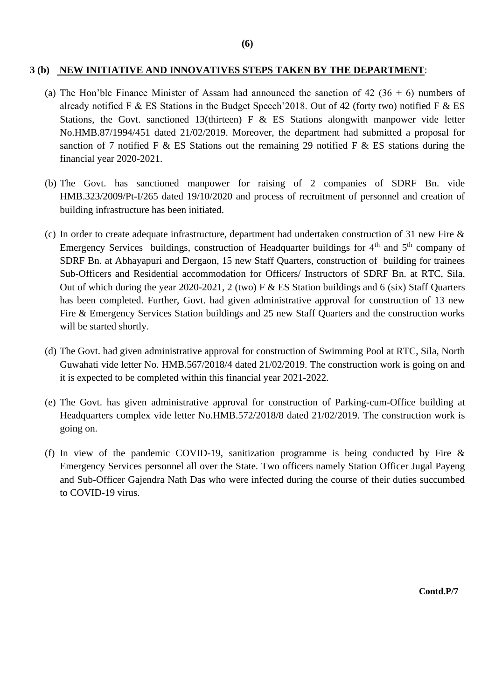#### **3 (b) NEW INITIATIVE AND INNOVATIVES STEPS TAKEN BY THE DEPARTMENT**:

- (a) The Hon'ble Finance Minister of Assam had announced the sanction of 42 (36 + 6) numbers of already notified F & ES Stations in the Budget Speech' 2018. Out of 42 (forty two) notified F & ES Stations, the Govt. sanctioned 13(thirteen) F  $\&$  ES Stations alongwith manpower vide letter No.HMB.87/1994/451 dated 21/02/2019. Moreover, the department had submitted a proposal for sanction of 7 notified F & ES Stations out the remaining 29 notified F & ES stations during the financial year 2020-2021.
- (b) The Govt. has sanctioned manpower for raising of 2 companies of SDRF Bn. vide HMB.323/2009/Pt-I/265 dated 19/10/2020 and process of recruitment of personnel and creation of building infrastructure has been initiated.
- (c) In order to create adequate infrastructure, department had undertaken construction of 31 new Fire & Emergency Services buildings, construction of Headquarter buildings for  $4<sup>th</sup>$  and  $5<sup>th</sup>$  company of SDRF Bn. at Abhayapuri and Dergaon, 15 new Staff Quarters, construction of building for trainees Sub-Officers and Residential accommodation for Officers/ Instructors of SDRF Bn. at RTC, Sila. Out of which during the year 2020-2021, 2 (two) F & ES Station buildings and 6 (six) Staff Quarters has been completed. Further, Govt. had given administrative approval for construction of 13 new Fire & Emergency Services Station buildings and 25 new Staff Quarters and the construction works will be started shortly.
- (d) The Govt. had given administrative approval for construction of Swimming Pool at RTC, Sila, North Guwahati vide letter No. HMB.567/2018/4 dated 21/02/2019. The construction work is going on and it is expected to be completed within this financial year 2021-2022.
- (e) The Govt. has given administrative approval for construction of Parking-cum-Office building at Headquarters complex vide letter No.HMB.572/2018/8 dated 21/02/2019. The construction work is going on.
- (f) In view of the pandemic COVID-19, sanitization programme is being conducted by Fire & Emergency Services personnel all over the State. Two officers namely Station Officer Jugal Payeng and Sub-Officer Gajendra Nath Das who were infected during the course of their duties succumbed to COVID-19 virus.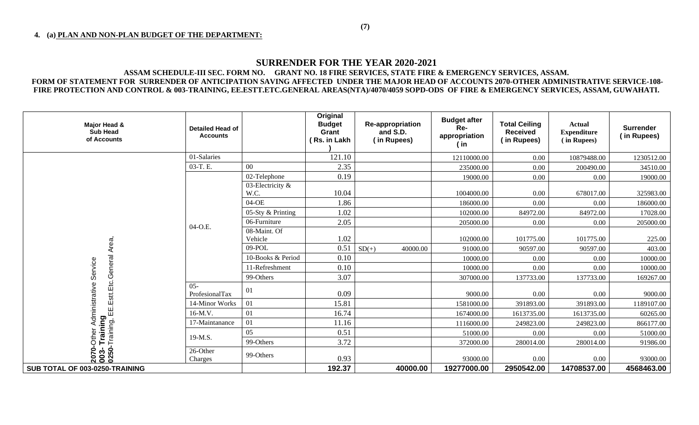# **SURRENDER FOR THE YEAR 2020-2021**

#### **ASSAM SCHEDULE-III SEC. FORM NO. GRANT NO. 18 FIRE SERVICES, STATE FIRE & EMERGENCY SERVICES, ASSAM. FORM OF STATEMENT FOR SURRENDER OF ANTICIPATION SAVING AFFECTED UNDER THE MAJOR HEAD OF ACCOUNTS 2070-OTHER ADMINISTRATIVE SERVICE-108- FIRE PROTECTION AND CONTROL & 003-TRAINING, EE.ESTT.ETC.GENERAL AREAS(NTA)/4070/4059 SOPD-ODS OF FIRE & EMERGENCY SERVICES, ASSAM, GUWAHATI.**

| Major Head &<br><b>Sub Head</b><br>of Accounts                      | <b>Detailed Head of</b><br><b>Accounts</b> |                             | Original<br><b>Budget</b><br>Grant<br>(Rs. in Lakh | Re-appropriation<br>and S.D.<br>(in Rupees) | <b>Budget after</b><br>Re-<br>appropriation<br>(in) | <b>Total Ceiling</b><br><b>Received</b><br>(in Rupees) | Actual<br><b>Expenditure</b><br>(in Rupees) | <b>Surrender</b><br>(in Rupees) |
|---------------------------------------------------------------------|--------------------------------------------|-----------------------------|----------------------------------------------------|---------------------------------------------|-----------------------------------------------------|--------------------------------------------------------|---------------------------------------------|---------------------------------|
|                                                                     | 01-Salaries                                |                             | 121.10                                             |                                             | 12110000.00                                         | 0.00                                                   | 10879488.00                                 | 1230512.00                      |
|                                                                     | 03-T.E.                                    | 0 <sub>0</sub>              | 2.35                                               |                                             | 235000.00                                           | 0.00                                                   | 200490.00                                   | 34510.00                        |
|                                                                     |                                            | 02-Telephone                | 0.19                                               |                                             | 19000.00                                            | 0.00                                                   | 0.00                                        | 19000.00                        |
|                                                                     |                                            | 03-Electricity $\&$<br>W.C. | 10.04                                              |                                             | 1004000.00                                          | 0.00                                                   | 678017.00                                   | 325983.00                       |
|                                                                     |                                            | $04-OE$                     | 1.86                                               |                                             | 186000.00                                           | 0.00                                                   | 0.00                                        | 186000.00                       |
|                                                                     |                                            | 05-Sty & Printing           | 1.02                                               |                                             | 102000.00                                           | 84972.00                                               | 84972.00                                    | 17028.00                        |
|                                                                     | 04-O.E.                                    | 06-Furniture                | 2.05                                               |                                             | 205000.00                                           | 0.00                                                   | 0.00                                        | 205000.00                       |
|                                                                     |                                            | 08-Maint. Of<br>Vehicle     | 1.02                                               |                                             | 102000.00                                           | 101775.00                                              | 101775.00                                   | 225.00                          |
| Area,                                                               |                                            | 09-POL                      | 0.51                                               | $SD(+)$<br>40000.00                         | 91000.00                                            | 90597.00                                               | 90597.00                                    | 403.00                          |
|                                                                     |                                            | 10-Books & Period           | 0.10                                               |                                             | 10000.00                                            | 0.00                                                   | 0.00                                        | 10000.00                        |
| Service                                                             |                                            | 11-Refreshment              | 0.10                                               |                                             | 10000.00                                            | 0.00                                                   | 0.00                                        | 10000.00                        |
|                                                                     |                                            | 99-Others                   | 3.07                                               |                                             | 307000.00                                           | 137733.00                                              | 137733.00                                   | 169267.00                       |
| C∷ai <b>ning</b><br>Training, EE.Estt.Etc.General<br>Administrative | $05 -$<br>ProfesionalTax                   | 01                          | 0.09                                               |                                             | 9000.00                                             | 0.00                                                   | 0.00                                        | 9000.00                         |
|                                                                     | 14-Minor Works                             | 01                          | 15.81                                              |                                             | 1581000.00                                          | 391893.00                                              | 391893.00                                   | 1189107.00                      |
|                                                                     | 16-M.V.                                    | 01                          | 16.74                                              |                                             | 1674000.00                                          | 1613735.00                                             | 1613735.00                                  | 60265.00                        |
|                                                                     | 17-Maintanance                             | 01                          | 11.16                                              |                                             | 1116000.00                                          | 249823.00                                              | 249823.00                                   | 866177.00                       |
| Other                                                               | 19-M.S.                                    | 05                          | 0.51                                               |                                             | 51000.00                                            | 0.00                                                   | 0.00                                        | 51000.00                        |
|                                                                     |                                            | 99-Others                   | 3.72                                               |                                             | 372000.00                                           | 280014.00                                              | 280014.00                                   | 91986.00                        |
| 2070-0<br>--003<br>0250                                             | 26-Other<br>Charges                        | 99-Others                   | 0.93                                               |                                             | 93000.00                                            | 0.00                                                   | 0.00                                        | 93000.00                        |
| SUB TOTAL OF 003-0250-TRAINING                                      |                                            |                             | 192.37                                             | 40000.00                                    | 19277000.00                                         | 2950542.00                                             | 14708537.00                                 | 4568463.00                      |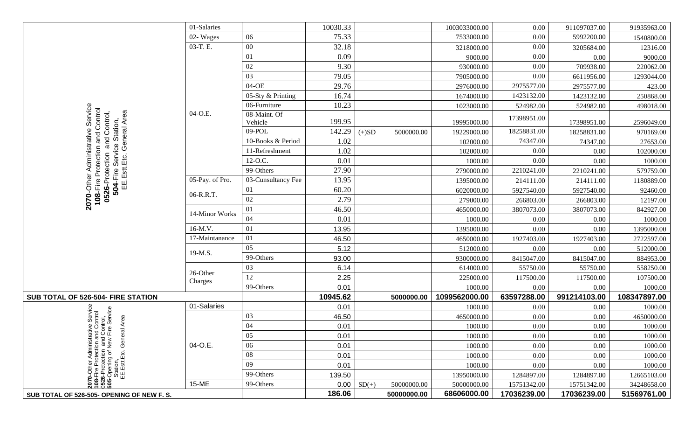|                                                                                                                                                                                  | 01-Salaries                 |                         | 10030.33 |         |             | 1003033000.00 | 0.00        | 911097037.00 | 91935963.00  |
|----------------------------------------------------------------------------------------------------------------------------------------------------------------------------------|-----------------------------|-------------------------|----------|---------|-------------|---------------|-------------|--------------|--------------|
|                                                                                                                                                                                  | 02-Wages                    | 06                      | 75.33    |         |             | 7533000.00    | 0.00        | 5992200.00   | 1540800.00   |
|                                                                                                                                                                                  | 03-T.E.                     | $00\,$                  | 32.18    |         |             | 3218000.00    | 0.00        | 3205684.00   | 12316.00     |
|                                                                                                                                                                                  |                             | 01                      | 0.09     |         |             | 9000.00       | 0.00        | 0.00         | 9000.00      |
|                                                                                                                                                                                  |                             | $02\,$                  | 9.30     |         |             | 930000.00     | 0.00        | 709938.00    | 220062.00    |
|                                                                                                                                                                                  |                             | 03                      | 79.05    |         |             | 7905000.00    | 0.00        | 6611956.00   | 1293044.00   |
|                                                                                                                                                                                  |                             | 04-OE                   | 29.76    |         |             | 2976000.00    | 2975577.00  | 2975577.00   | 423.00       |
|                                                                                                                                                                                  |                             | 05-Sty & Printing       | 16.74    |         |             | 1674000.00    | 1423132.00  | 1423132.00   | 250868.00    |
|                                                                                                                                                                                  | 04-O.E.                     | 06-Furniture            | 10.23    |         |             | 1023000.00    | 524982.00   | 524982.00    | 498018.00    |
| Service<br>Control<br><b>0526</b> -Protection and Control,<br>504-Fire Service Station,<br>EE.Estt.Etc. General Area                                                             |                             | 08-Maint. Of<br>Vehicle | 199.95   |         |             | 19995000.00   | 17398951.00 | 17398951.00  | 2596049.00   |
|                                                                                                                                                                                  |                             | 09-POL                  | 142.29   | $(+)SD$ | 5000000.00  | 19229000.00   | 18258831.00 | 18258831.00  | 970169.00    |
|                                                                                                                                                                                  |                             | 10-Books & Period       | 1.02     |         |             | 102000.00     | 74347.00    | 74347.00     | 27653.00     |
| Administrative                                                                                                                                                                   |                             | 11-Refreshment          | 1.02     |         |             | 102000.00     | 0.00        | 0.00         | 102000.00    |
|                                                                                                                                                                                  |                             | 12-O.C.                 | 0.01     |         |             | 1000.00       | 0.00        | 0.00         | 1000.00      |
| Protection and                                                                                                                                                                   |                             | 99-Others               | 27.90    |         |             | 2790000.00    | 2210241.00  | 2210241.00   | 579759.00    |
|                                                                                                                                                                                  | 05-Pay. of Pro.             | 03-Cunsultancy Fee      | 13.95    |         |             | 1395000.00    | 214111.00   | 214111.00    | 1180889.00   |
| $2070$ -Other<br>108-Fire                                                                                                                                                        |                             | 01                      | 60.20    |         |             | 6020000.00    | 5927540.00  | 5927540.00   | 92460.00     |
|                                                                                                                                                                                  | 06-R.R.T.<br>14-Minor Works | 02                      | 2.79     |         |             | 279000.00     | 266803.00   | 266803.00    | 12197.00     |
|                                                                                                                                                                                  |                             | 01                      | 46.50    |         |             | 4650000.00    | 3807073.00  | 3807073.00   | 842927.00    |
|                                                                                                                                                                                  |                             | 04                      | 0.01     |         |             | 1000.00       | 0.00        | 0.00         | 1000.00      |
|                                                                                                                                                                                  | 16-M.V.                     | 01                      | 13.95    |         |             | 1395000.00    | 0.00        | 0.00         | 1395000.00   |
|                                                                                                                                                                                  | 17-Maintanance              | 01                      | 46.50    |         |             | 4650000.00    | 1927403.00  | 1927403.00   | 2722597.00   |
|                                                                                                                                                                                  | 19-M.S.                     | 05                      | 5.12     |         |             | 512000.00     | 0.00        | 0.00         | 512000.00    |
|                                                                                                                                                                                  |                             | 99-Others               | 93.00    |         |             | 9300000.00    | 8415047.00  | 8415047.00   | 884953.00    |
|                                                                                                                                                                                  |                             | 03                      | 6.14     |         |             | 614000.00     | 55750.00    | 55750.00     | 558250.00    |
|                                                                                                                                                                                  | 26-Other<br>Charges         | 12                      | 2.25     |         |             | 225000.00     | 117500.00   | 117500.00    | 107500.00    |
|                                                                                                                                                                                  |                             | 99-Others               | 0.01     |         |             | 1000.00       | 0.00        | 0.00         | 1000.00      |
| SUB TOTAL OF 526-504- FIRE STATION                                                                                                                                               |                             |                         | 10945.62 |         | 5000000.00  | 1099562000.00 | 63597288.00 | 991214103.00 | 108347897.00 |
|                                                                                                                                                                                  | 01-Salaries                 |                         | 0.01     |         |             | 1000.00       | 0.00        | 0.00         | 1000.00      |
| Control,<br>Tre Service<br>ntrol                                                                                                                                                 |                             | 03                      | 46.50    |         |             | 4650000.00    | 0.00        | 0.00         | 4650000.00   |
|                                                                                                                                                                                  |                             | 04                      | 0.01     |         |             | 1000.00       | 0.00        | 0.00         | 1000.00      |
| General Area<br>2070-Other Administrative S<br>108-Fire Protection and Conto<br>0526-Protection and Contro<br>505-Opening of New Fire Se<br>Station,<br>EE.Estt.Etc. General Are |                             | 05                      | 0.01     |         |             | 1000.00       | 0.00        | 0.00         | 1000.00      |
|                                                                                                                                                                                  | 04-O.E.                     | 06                      | 0.01     |         |             | 1000.00       | 0.00        | 0.00         | 1000.00      |
|                                                                                                                                                                                  |                             | 08                      | 0.01     |         |             | 1000.00       | 0.00        | 0.00         | 1000.00      |
|                                                                                                                                                                                  |                             | 09                      | 0.01     |         |             | 1000.00       | 0.00        | 0.00         | 1000.00      |
|                                                                                                                                                                                  |                             | 99-Others               | 139.50   |         |             | 13950000.00   | 1284897.00  | 1284897.00   | 12665103.00  |
|                                                                                                                                                                                  | 15-ME                       | 99-Others               | 0.00     | $SD(+)$ | 50000000.00 | 50000000.00   | 15751342.00 | 15751342.00  | 34248658.00  |
| SUB TOTAL OF 526-505- OPENING OF NEW F. S.                                                                                                                                       |                             |                         | 186.06   |         | 50000000.00 | 68606000.00   | 17036239.00 | 17036239.00  | 51569761.00  |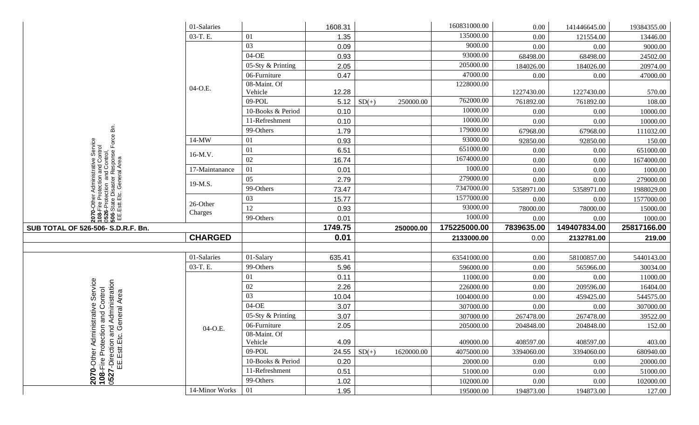|                                                                                                                                      | 01-Salaries    |                   | 1608.31          |            | 160831000.00 | 0.00       | 141446645.00 | 19384355.00            |
|--------------------------------------------------------------------------------------------------------------------------------------|----------------|-------------------|------------------|------------|--------------|------------|--------------|------------------------|
|                                                                                                                                      | 03-T. E.       | 01                | 1.35             |            | 135000.00    | 0.00       | 121554.00    | 13446.00               |
|                                                                                                                                      |                | 03                | 0.09             |            | 9000.00      | 0.00       | 0.00         | 9000.00                |
|                                                                                                                                      |                | $04-OE$           | 0.93             |            | 93000.00     | 68498.00   | 68498.00     | 24502.00               |
|                                                                                                                                      |                | 05-Sty & Printing | 2.05             |            | 205000.00    | 184026.00  | 184026.00    | 20974.00               |
|                                                                                                                                      |                | 06-Furniture      | 0.47             |            | 47000.00     | 0.00       | 0.00         | 47000.00               |
|                                                                                                                                      | 04-O.E.        | 08-Maint. Of      |                  |            | 1228000.00   |            |              |                        |
|                                                                                                                                      |                | Vehicle           | 12.28            |            |              | 1227430.00 | 1227430.00   | 570.00                 |
|                                                                                                                                      |                | 09-POL            | 5.12<br>$SD(+)$  | 250000.00  | 762000.00    | 761892.00  | 761892.00    | 108.00                 |
|                                                                                                                                      |                | 10-Books & Period | 0.10             |            | 10000.00     | 0.00       | 0.00         | 10000.00               |
|                                                                                                                                      |                | 11-Refreshment    | 0.10             |            | 10000.00     | 0.00       | 0.00         | 10000.00               |
| ă                                                                                                                                    |                | 99-Others         | 1.79             |            | 179000.00    | 67968.00   | 67968.00     | 111032.00              |
| 헌                                                                                                                                    | $14-MW$        | 01                | 0.93             |            | 93000.00     | 92850.00   | 92850.00     | 150.00                 |
| Service<br><b>ntrol</b>                                                                                                              | 16-M.V.        | 01                | 6.51             |            | 651000.00    | 0.00       | 0.00         | 651000.00              |
|                                                                                                                                      |                | 02                | 16.74            |            | 1674000.00   | 0.00       | 0.00         | 1674000.00             |
|                                                                                                                                      | 17-Maintanance | 01                | 0.01             |            | 1000.00      | 0.00       | 0.00         | 1000.00                |
|                                                                                                                                      |                | 05                | 2.79             |            | 279000.00    | 0.00       | 0.00         | 279000.00              |
|                                                                                                                                      | 19-M.S.        | 99-Others         | 73.47            |            | 7347000.00   | 5358971.00 | 5358971.00   | 1988029.00             |
|                                                                                                                                      |                | 03                | 15.77            |            | 1577000.00   | 0.00       | 0.00         | 1577000.00             |
| 2070-Other Administrative Serv<br>  108-Fire Protection and Control<br>  0526-Protection and Control,<br>  EE.Estt.Etc. General Area | 26-Other       | 12                | 0.93             |            | 93000.00     | 78000.00   | 78000.00     | 15000.00               |
|                                                                                                                                      |                |                   |                  |            |              |            |              |                        |
|                                                                                                                                      | Charges        | 99-Others         | 0.01             |            | 1000.00      | 0.00       | 0.00         | 1000.00                |
| SUB TOTAL OF 526-506- S.D.R.F. Bn.                                                                                                   |                |                   | 1749.75          | 250000.00  | 175225000.00 | 7839635.00 | 149407834.00 | 25817166.00            |
|                                                                                                                                      | <b>CHARGED</b> |                   | 0.01             |            | 2133000.00   | 0.00       | 2132781.00   | 219.00                 |
|                                                                                                                                      |                |                   |                  |            |              |            |              |                        |
|                                                                                                                                      | 01-Salaries    | 01-Salary         | 635.41           |            | 63541000.00  | 0.00       | 58100857.00  | 5440143.00             |
|                                                                                                                                      | 03-T. E.       | 99-Others         | 5.96             |            | 596000.00    | 0.00       | 565966.00    | 30034.00               |
|                                                                                                                                      |                | 01                | 0.11             |            | 11000.00     | 0.00       | 0.00         | 11000.00               |
|                                                                                                                                      |                | $02\,$            | 2.26             |            | 226000.00    | 0.00       | 209596.00    | 16404.00               |
|                                                                                                                                      |                | 03                | 10.04            |            | 1004000.00   | 0.00       | 459425.00    |                        |
| Service                                                                                                                              |                | $04-OE$           | 3.07             |            | 307000.00    | 0.00       | 0.00         | 544575.00<br>307000.00 |
|                                                                                                                                      |                | 05-Sty & Printing |                  |            |              |            |              | 39522.00               |
| Administration                                                                                                                       |                | 06-Furniture      | 3.07             |            | 307000.00    | 267478.00  | 267478.00    |                        |
| on and Control<br>and Administrati<br>. General Area<br>inistrative                                                                  | 04-O.E.        | 08-Maint. Of      | 2.05             |            | 205000.00    | 204848.00  | 204848.00    | 152.00                 |
|                                                                                                                                      |                | Vehicle           | 4.09             |            | 409000.00    | 408597.00  | 408597.00    | 403.00                 |
|                                                                                                                                      |                | 09-POL            | 24.55<br>$SD(+)$ | 1620000.00 | 4075000.00   | 3394060.00 | 3394060.00   | 680940.00              |
|                                                                                                                                      |                | 10-Books & Period | 0.20             |            | 20000.00     | 0.00       | 0.00         | 20000.00               |
|                                                                                                                                      |                | 11-Refreshment    | 0.51             |            | 51000.00     | 0.00       | 0.00         | 51000.00               |
| <b>2070-</b> Other Admin<br><b>108-Fire Protection</b><br><b>0527-Direction an</b><br>EE.Estt.Etc.                                   | 14-Minor Works | 99-Others<br>01   | 1.02             |            | 102000.00    | 0.00       | 0.00         | 102000.00              |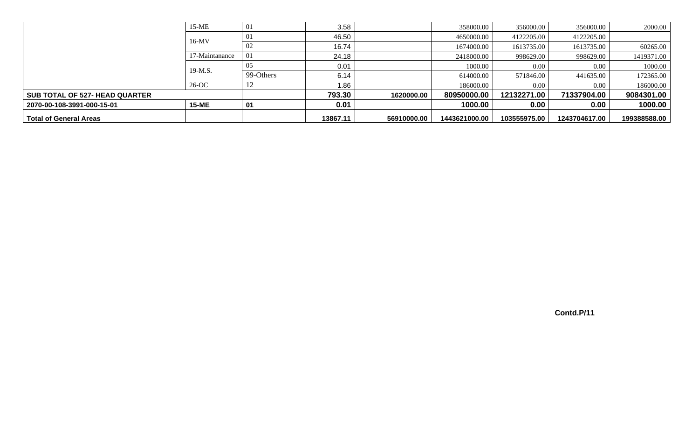|                                       | $15-ME$        | 01        | 3.58     |             | 358000.00     | 356000.00    | 356000.00     | 2000.00      |
|---------------------------------------|----------------|-----------|----------|-------------|---------------|--------------|---------------|--------------|
|                                       | $16-MV$        | 01        | 46.50    |             | 4650000.00    | 4122205.00   | 4122205.00    |              |
|                                       |                | 02        | 16.74    |             | 1674000.00    | 1613735.00   | 1613735.00    | 60265.00     |
|                                       | 17-Maintanance | 01        | 24.18    |             | 2418000.00    | 998629.00    | 998629.00     | 1419371.00   |
|                                       | 19-M.S.        | 05        | 0.01     |             | 1000.00       | 0.00         | 0.00          | 1000.00      |
|                                       |                | 99-Others | 6.14     |             | 614000.00     | 571846.00    | 441635.00     | 172365.00    |
|                                       | 26-OC          | 12        | 1.86     |             | 186000.00     | 0.00         | 0.00          | 186000.00    |
| <b>SUB TOTAL OF 527- HEAD QUARTER</b> |                |           | 793.30   | 1620000.00  | 80950000.00   | 12132271.00  | 71337904.00   | 9084301.00   |
| 2070-00-108-3991-000-15-01            | <b>15-ME</b>   | 01        | 0.01     |             | 1000.00       | 0.00         | 0.00          | 1000.00      |
| <b>Total of General Areas</b>         |                |           | 13867.11 | 56910000.00 | 1443621000.00 | 103555975.00 | 1243704617.00 | 199388588.00 |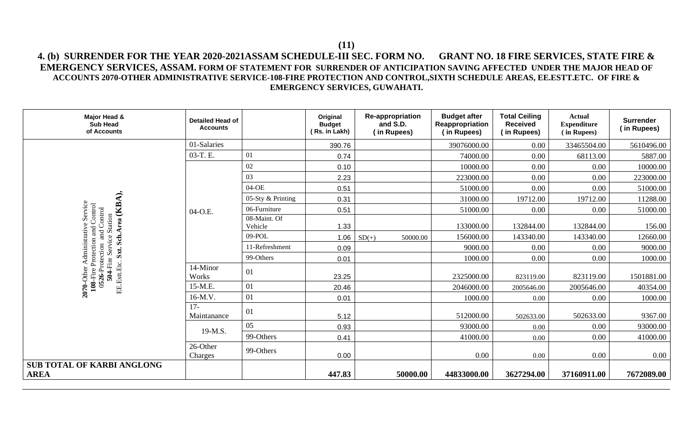# **4. (b) SURRENDER FOR THE YEAR 2020-2021ASSAM SCHEDULE-III SEC. FORM NO. GRANT NO. 18 FIRE SERVICES, STATE FIRE & EMERGENCY SERVICES, ASSAM. FORM OF STATEMENT FOR SURRENDER OF ANTICIPATION SAVING AFFECTED UNDER THE MAJOR HEAD OF ACCOUNTS 2070-OTHER ADMINISTRATIVE SERVICE-108-FIRE PROTECTION AND CONTROL,SIXTH SCHEDULE AREAS, EE.ESTT.ETC. OF FIRE & EMERGENCY SERVICES, GUWAHATI.**

| Major Head &<br><b>Sub Head</b><br>of Accounts                                                      | <b>Detailed Head of</b><br><b>Accounts</b> |                         | Original<br><b>Budget</b><br>(Rs. in Lakh) | <b>Re-appropriation</b><br>and S.D.<br>(in Rupees) | <b>Budget after</b><br>Reappropriation<br>(in Rupees) | <b>Total Ceiling</b><br><b>Received</b><br>(in Rupees) | <b>Actual</b><br><b>Expenditure</b><br>(in Rupees) | <b>Surrender</b><br>(in Rupees) |
|-----------------------------------------------------------------------------------------------------|--------------------------------------------|-------------------------|--------------------------------------------|----------------------------------------------------|-------------------------------------------------------|--------------------------------------------------------|----------------------------------------------------|---------------------------------|
|                                                                                                     | 01-Salaries                                |                         | 390.76                                     |                                                    | 39076000.00                                           | 0.00                                                   | 33465504.00                                        | 5610496.00                      |
|                                                                                                     | 03-T.E.                                    | 01                      | 0.74                                       |                                                    | 74000.00                                              | 0.00                                                   | 68113.00                                           | 5887.00                         |
|                                                                                                     |                                            | $02\,$                  | 0.10                                       |                                                    | 10000.00                                              | $0.00\,$                                               | 0.00                                               | 10000.00                        |
|                                                                                                     |                                            | 03                      | 2.23                                       |                                                    | 223000.00                                             | 0.00                                                   | 0.00                                               | 223000.00                       |
|                                                                                                     |                                            | 04-OE                   | 0.51                                       |                                                    | 51000.00                                              | $0.00\,$                                               | 0.00                                               | 51000.00                        |
|                                                                                                     |                                            | 05-Sty & Printing       | 0.31                                       |                                                    | 31000.00                                              | 19712.00                                               | 19712.00                                           | 11288.00                        |
| Service<br>Control                                                                                  | 04-O.E.                                    | 06-Furniture            | 0.51                                       |                                                    | 51000.00                                              | $0.00\,$                                               | 0.00                                               | 51000.00                        |
| Sxt. Sch.Area (KBA),<br>Control                                                                     |                                            | 08-Maint. Of<br>Vehicle | 1.33                                       |                                                    | 133000.00                                             | 132844.00                                              | 132844.00                                          | 156.00                          |
| and<br>and                                                                                          |                                            | 09-POL                  | 1.06                                       | $SD(+)$<br>50000.00                                | 156000.00                                             | 143340.00                                              | 143340.00                                          | 12660.00                        |
| Administi                                                                                           |                                            | 11-Refreshment          | 0.09                                       |                                                    | 9000.00                                               | 0.00                                                   | 0.00                                               | 9000.00                         |
|                                                                                                     |                                            | 99-Others               | 0.01                                       |                                                    | 1000.00                                               | 0.00                                                   | 0.00                                               | 1000.00                         |
| 504-Fire Service Station<br>108-Fire Protection<br>0526-Protection<br>EE.Estt.Etc.<br>$2070$ -Other | 14-Minor<br>Works                          | 01                      | 23.25                                      |                                                    | 2325000.00                                            | 823119.00                                              | 823119.00                                          | 1501881.00                      |
|                                                                                                     | 15-M.E.                                    | 01                      | 20.46                                      |                                                    | 2046000.00                                            | 2005646.00                                             | 2005646.00                                         | 40354.00                        |
|                                                                                                     | 16-M.V.                                    | 01                      | 0.01                                       |                                                    | 1000.00                                               | 0.00                                                   | 0.00                                               | 1000.00                         |
|                                                                                                     | $17-$<br>Maintanance                       | 01                      | 5.12                                       |                                                    | 512000.00                                             | 502633.00                                              | 502633.00                                          | 9367.00                         |
|                                                                                                     | 19-M.S.                                    | 05                      | 0.93                                       |                                                    | 93000.00                                              | 0.00                                                   | 0.00                                               | 93000.00                        |
|                                                                                                     |                                            | 99-Others               | 0.41                                       |                                                    | 41000.00                                              | 0.00                                                   | 0.00                                               | 41000.00                        |
|                                                                                                     | 26-Other<br>Charges                        | 99-Others               | 0.00                                       |                                                    | 0.00                                                  | 0.00                                                   | 0.00                                               | 0.00                            |
| <b>SUB TOTAL OF KARBI ANGLONG</b><br><b>AREA</b>                                                    |                                            |                         | 447.83                                     | 50000.00                                           | 44833000.00                                           | 3627294.00                                             | 37160911.00                                        | 7672089.00                      |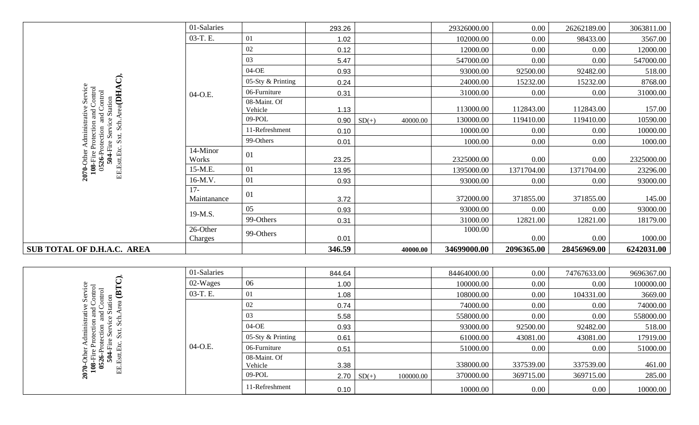|                                                                                                                    | 01-Salaries          |                         | 293.26 |         |          | 29326000.00 | 0.00       | 26262189.00 | 3063811.00 |
|--------------------------------------------------------------------------------------------------------------------|----------------------|-------------------------|--------|---------|----------|-------------|------------|-------------|------------|
|                                                                                                                    | 03-T. E.             | 01                      | 1.02   |         |          | 102000.00   | $0.00\,$   | 98433.00    | 3567.00    |
|                                                                                                                    |                      | $02\,$                  | 0.12   |         |          | 12000.00    | $0.00\,$   | 0.00        | 12000.00   |
|                                                                                                                    |                      | 03                      | 5.47   |         |          | 547000.00   | $0.00\,$   | 0.00        | 547000.00  |
|                                                                                                                    |                      | 04-OE                   | 0.93   |         |          | 93000.00    | 92500.00   | 92482.00    | 518.00     |
| ි                                                                                                                  |                      | 05-Sty & Printing       | 0.24   |         |          | 24000.00    | 15232.00   | 15232.00    | 8768.00    |
| Service                                                                                                            | 04-O.E.              | 06-Furniture            | 0.31   |         |          | 31000.00    | 0.00       | 0.00        | 31000.00   |
| Sch.Area(DHA<br>and Control<br>Control                                                                             |                      | 08-Maint. Of<br>Vehicle | 1.13   |         |          | 113000.00   | 112843.00  | 112843.00   | 157.00     |
|                                                                                                                    |                      | 09-POL                  | 0.90   | $SD(+)$ | 40000.00 | 130000.00   | 119410.00  | 119410.00   | 10590.00   |
|                                                                                                                    |                      | 11-Refreshment          | 0.10   |         |          | 10000.00    | 0.00       | 0.00        | 10000.00   |
| Sxt.                                                                                                               |                      | 99-Others               | 0.01   |         |          | 1000.00     | $0.00\,$   | $0.00\,$    | 1000.00    |
| <b>108-Fire Protection and Conditation</b><br>0526-Protection and Cont<br>504-Fire Service Station<br>EE.Estt.Etc. | 14-Minor<br>Works    | 01                      | 23.25  |         |          | 2325000.00  | 0.00       | 0.00        | 2325000.00 |
| 2070-Oth                                                                                                           | 15-M.E.              | 01                      | 13.95  |         |          | 1395000.00  | 1371704.00 | 1371704.00  | 23296.00   |
|                                                                                                                    | 16-M.V.              | 01                      | 0.93   |         |          | 93000.00    | 0.00       | 0.00        | 93000.00   |
|                                                                                                                    | $17-$<br>Maintanance | 01                      | 3.72   |         |          | 372000.00   | 371855.00  | 371855.00   | 145.00     |
|                                                                                                                    | 19-M.S.              | 05                      | 0.93   |         |          | 93000.00    | 0.00       | 0.00        | 93000.00   |
|                                                                                                                    |                      | 99-Others               | 0.31   |         |          | 31000.00    | 12821.00   | 12821.00    | 18179.00   |
|                                                                                                                    | 26-Other<br>Charges  | 99-Others               | 0.01   |         |          | 1000.00     | 0.00       | 0.00        | 1000.00    |
| SUB TOTAL OF D.H.A.C. AREA                                                                                         |                      |                         | 346.59 |         | 40000.00 | 34699000.00 | 2096365.00 | 28456969.00 | 6242031.00 |

|                                | 01-Salaries |                         | 844.64 |                   |           | 84464000.00 | 0.00      | 74767633.00 | 9696367.00 |
|--------------------------------|-------------|-------------------------|--------|-------------------|-----------|-------------|-----------|-------------|------------|
|                                | $02-Wages$  | 06                      | 1.00   |                   |           | 100000.00   | $0.00\,$  | 0.00        | 100000.00  |
| $\overline{Q}$<br>$\mathbf{u}$ | 03-T. E.    | 01                      | 1.08   |                   |           | 108000.00   | $0.00\,$  | 104331.00   | 3669.00    |
| tation                         |             | 02                      | 0.74   |                   |           | 74000.00    | 0.00      | 0.00        | 74000.00   |
| ರ<br>Ω<br>웅                    |             | 03                      | 5.58   |                   |           | 558000.00   | 0.00      | 0.00        | 558000.00  |
| $\omega$                       |             | 04-OE                   | 0.93   |                   |           | 93000.00    | 92500.00  | 92482.00    | 518.00     |
| $S_{Xt}$<br>$\sim$             |             | 05-Sty & Printing       | 0.61   |                   |           | 61000.00    | 43081.00  | 43081.00    | 17919.00   |
| чrе                            | $04-O.E.$   | 06-Furniture            | 0.51   |                   |           | 51000.00    | 0.00      | 0.00        | 51000.00   |
| 山                              |             | 08-Maint. Of<br>Vehicle | 3.38   |                   |           | 338000.00   | 337539.00 | 337539.00   | 461.00     |
| נם                             |             | 09-POL                  |        | $2.70 \mid SD(+)$ | 100000.00 | 370000.00   | 369715.00 | 369715.00   | 285.00     |
|                                |             | 11-Refreshment          | 0.10   |                   |           | 10000.00    | $0.00\,$  | 0.00        | 10000.00   |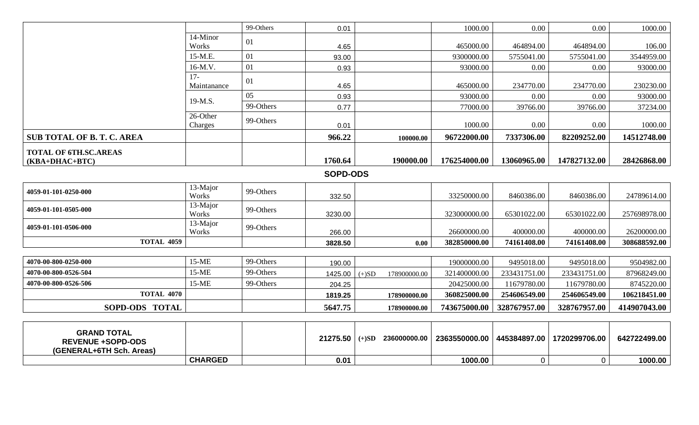|                                                |                      | 99-Others | 0.01            |         |                      | 1000.00       | 0.00         | 0.00          | 1000.00      |
|------------------------------------------------|----------------------|-----------|-----------------|---------|----------------------|---------------|--------------|---------------|--------------|
|                                                | 14-Minor<br>Works    | 01        | 4.65            |         |                      | 465000.00     | 464894.00    | 464894.00     | 106.00       |
|                                                | 15-M.E.              | 01        | 93.00           |         |                      | 9300000.00    | 5755041.00   | 5755041.00    | 3544959.00   |
|                                                | 16-M.V.              | 01        | 0.93            |         |                      | 93000.00      | 0.00         | 0.00          | 93000.00     |
|                                                | $17-$<br>Maintanance | 01        | 4.65            |         |                      | 465000.00     | 234770.00    | 234770.00     | 230230.00    |
|                                                | 19-M.S.              | 05        | 0.93            |         |                      | 93000.00      | 0.00         | 0.00          | 93000.00     |
|                                                |                      | 99-Others | 0.77            |         |                      | 77000.00      | 39766.00     | 39766.00      | 37234.00     |
|                                                | 26-Other<br>Charges  | 99-Others | 0.01            |         |                      | 1000.00       | 0.00         | 0.00          | 1000.00      |
| <b>SUB TOTAL OF B. T. C. AREA</b>              |                      |           | 966.22          |         | 100000.00            | 96722000.00   | 7337306.00   | 82209252.00   | 14512748.00  |
| <b>TOTAL OF 6TH.SC.AREAS</b><br>(KBA+DHAC+BTC) |                      |           | 1760.64         |         | 190000.00            | 176254000.00  | 13060965.00  | 147827132.00  | 28426868.00  |
|                                                |                      |           |                 |         |                      |               |              |               |              |
|                                                |                      |           | <b>SOPD-ODS</b> |         |                      |               |              |               |              |
| 4059-01-101-0250-000                           | 13-Major<br>Works    | 99-Others | 332.50          |         |                      | 33250000.00   | 8460386.00   | 8460386.00    | 24789614.00  |
| 4059-01-101-0505-000                           | 13-Major<br>Works    | 99-Others | 3230.00         |         |                      | 323000000.00  | 65301022.00  | 65301022.00   | 257698978.00 |
| 4059-01-101-0506-000                           | 13-Major<br>Works    | 99-Others | 266.00          |         |                      | 26600000.00   | 400000.00    | 400000.00     | 26200000.00  |
| <b>TOTAL 4059</b>                              |                      |           | 3828.50         |         | 0.00                 | 382850000.00  | 74161408.00  | 74161408.00   | 308688592.00 |
|                                                |                      |           |                 |         |                      |               |              |               |              |
| 4070-00-800-0250-000                           | $15-ME$              | 99-Others | 190.00          |         |                      | 19000000.00   | 9495018.00   | 9495018.00    | 9504982.00   |
| 4070-00-800-0526-504                           | 15-ME                | 99-Others | 1425.00         | $(+)SD$ | 178900000.00         | 321400000.00  | 233431751.00 | 233431751.00  | 87968249.00  |
| 4070-00-800-0526-506                           | $15-ME$              | 99-Others | 204.25          |         |                      | 20425000.00   | 11679780.00  | 11679780.00   | 8745220.00   |
| <b>TOTAL 4070</b>                              |                      |           | 1819.25         |         | 178900000.00         | 360825000.00  | 254606549.00 | 254606549.00  | 106218451.00 |
| SOPD-ODS TOTAL                                 |                      |           | 5647.75         |         | 178900000.00         | 743675000.00  | 328767957.00 | 328767957.00  | 414907043.00 |
| <b>GRAND TOTAL</b><br><b>REVENUE +SOPD-ODS</b> |                      |           | 21275.50        |         | $(+)SD$ 236000000.00 | 2363550000.00 | 445384897.00 | 1720299706.00 | 642722499.00 |

**CHARGED 0.01 1000.00** 0 0 **1000.00**

**(GENERAL+6TH Sch. Areas)**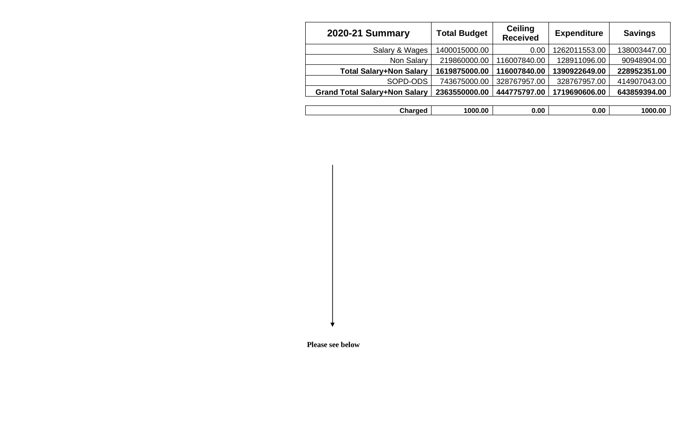| <b>2020-21 Summary</b>               | <b>Total Budget</b> | <b>Ceiling</b><br><b>Received</b> | <b>Expenditure</b> | <b>Savings</b> |
|--------------------------------------|---------------------|-----------------------------------|--------------------|----------------|
| Salary & Wages                       | 1400015000.00       | 0.00                              | 1262011553.00      | 138003447.00   |
| Non Salary                           | 219860000.00        | 116007840.00                      | 128911096.00       | 90948904.00    |
| <b>Total Salary+Non Salary</b>       | 1619875000.00       | 116007840.00                      | 1390922649.00      | 228952351.00   |
| SOPD-ODS                             | 743675000.00        | 328767957.00                      | 328767957.00       | 414907043.00   |
| <b>Grand Total Salary+Non Salary</b> | 2363550000.00       | 444775797.00                      | 1719690606.00      | 643859394.00   |
|                                      |                     |                                   |                    |                |
| Charged                              | 1000.00             | 0.00                              | 0.00               | 1000.00        |

 **Please see below**